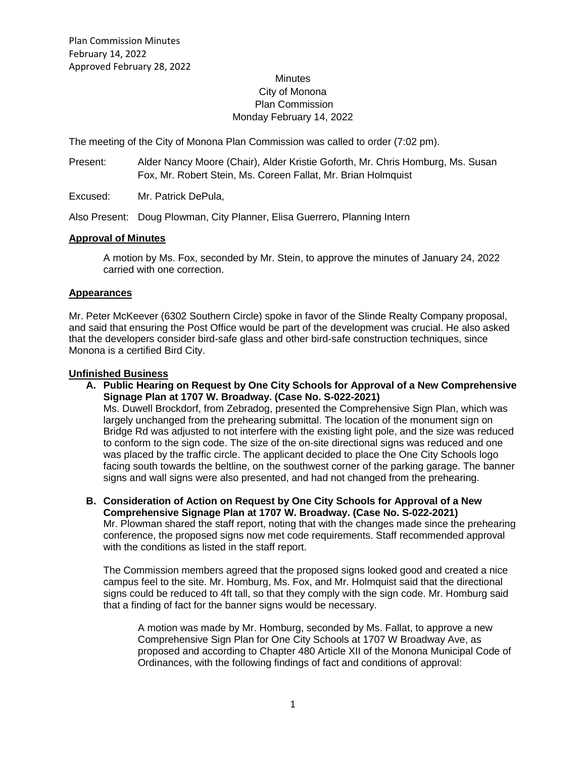# **Minutes** City of Monona Plan Commission Monday February 14, 2022

The meeting of the City of Monona Plan Commission was called to order (7:02 pm).

Present: Alder Nancy Moore (Chair), Alder Kristie Goforth, Mr. Chris Homburg, Ms. Susan Fox, Mr. Robert Stein, Ms. Coreen Fallat, Mr. Brian Holmquist

Excused: Mr. Patrick DePula,

Also Present: Doug Plowman, City Planner, Elisa Guerrero, Planning Intern

### **Approval of Minutes**

A motion by Ms. Fox, seconded by Mr. Stein, to approve the minutes of January 24, 2022 carried with one correction.

#### **Appearances**

Mr. Peter McKeever (6302 Southern Circle) spoke in favor of the Slinde Realty Company proposal, and said that ensuring the Post Office would be part of the development was crucial. He also asked that the developers consider bird-safe glass and other bird-safe construction techniques, since Monona is a certified Bird City.

### **Unfinished Business**

- **A. Public Hearing on Request by One City Schools for Approval of a New Comprehensive Signage Plan at 1707 W. Broadway. (Case No. S-022-2021)** Ms. Duwell Brockdorf, from Zebradog, presented the Comprehensive Sign Plan, which was largely unchanged from the prehearing submittal. The location of the monument sign on Bridge Rd was adjusted to not interfere with the existing light pole, and the size was reduced to conform to the sign code. The size of the on-site directional signs was reduced and one was placed by the traffic circle. The applicant decided to place the One City Schools logo facing south towards the beltline, on the southwest corner of the parking garage. The banner signs and wall signs were also presented, and had not changed from the prehearing.
- **B. Consideration of Action on Request by One City Schools for Approval of a New Comprehensive Signage Plan at 1707 W. Broadway. (Case No. S-022-2021)** Mr. Plowman shared the staff report, noting that with the changes made since the prehearing conference, the proposed signs now met code requirements. Staff recommended approval with the conditions as listed in the staff report.

The Commission members agreed that the proposed signs looked good and created a nice campus feel to the site. Mr. Homburg, Ms. Fox, and Mr. Holmquist said that the directional signs could be reduced to 4ft tall, so that they comply with the sign code. Mr. Homburg said that a finding of fact for the banner signs would be necessary.

A motion was made by Mr. Homburg, seconded by Ms. Fallat, to approve a new Comprehensive Sign Plan for One City Schools at 1707 W Broadway Ave, as proposed and according to Chapter 480 Article XII of the Monona Municipal Code of Ordinances, with the following findings of fact and conditions of approval: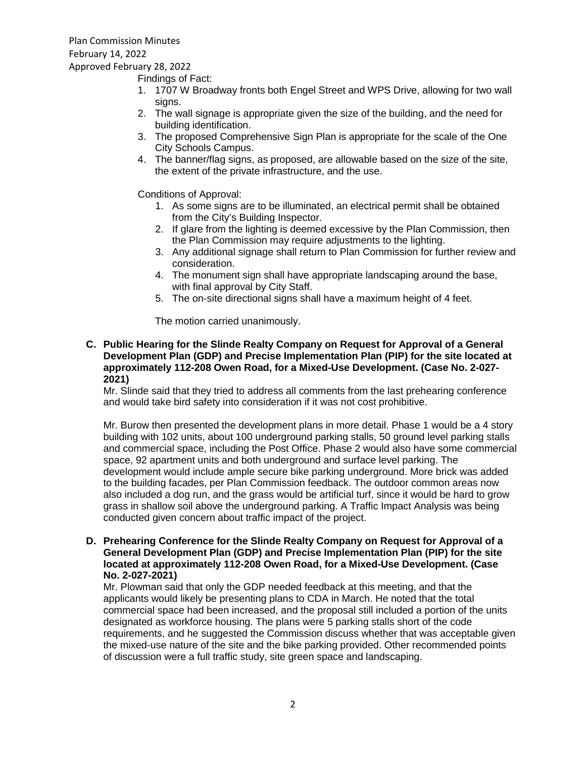Findings of Fact:

- 1. 1707 W Broadway fronts both Engel Street and WPS Drive, allowing for two wall signs.
- 2. The wall signage is appropriate given the size of the building, and the need for building identification.
- 3. The proposed Comprehensive Sign Plan is appropriate for the scale of the One City Schools Campus.
- 4. The banner/flag signs, as proposed, are allowable based on the size of the site, the extent of the private infrastructure, and the use.

Conditions of Approval:

- 1. As some signs are to be illuminated, an electrical permit shall be obtained from the City's Building Inspector.
- 2. If glare from the lighting is deemed excessive by the Plan Commission, then the Plan Commission may require adjustments to the lighting.
- 3. Any additional signage shall return to Plan Commission for further review and consideration.
- 4. The monument sign shall have appropriate landscaping around the base, with final approval by City Staff.
- 5. The on-site directional signs shall have a maximum height of 4 feet.

The motion carried unanimously.

**C. Public Hearing for the Slinde Realty Company on Request for Approval of a General Development Plan (GDP) and Precise Implementation Plan (PIP) for the site located at approximately 112-208 Owen Road, for a Mixed-Use Development. (Case No. 2-027- 2021)**

Mr. Slinde said that they tried to address all comments from the last prehearing conference and would take bird safety into consideration if it was not cost prohibitive.

Mr. Burow then presented the development plans in more detail. Phase 1 would be a 4 story building with 102 units, about 100 underground parking stalls, 50 ground level parking stalls and commercial space, including the Post Office. Phase 2 would also have some commercial space, 92 apartment units and both underground and surface level parking. The development would include ample secure bike parking underground. More brick was added to the building facades, per Plan Commission feedback. The outdoor common areas now also included a dog run, and the grass would be artificial turf, since it would be hard to grow grass in shallow soil above the underground parking. A Traffic Impact Analysis was being conducted given concern about traffic impact of the project.

**D. Prehearing Conference for the Slinde Realty Company on Request for Approval of a General Development Plan (GDP) and Precise Implementation Plan (PIP) for the site located at approximately 112-208 Owen Road, for a Mixed-Use Development. (Case No. 2-027-2021)**

Mr. Plowman said that only the GDP needed feedback at this meeting, and that the applicants would likely be presenting plans to CDA in March. He noted that the total commercial space had been increased, and the proposal still included a portion of the units designated as workforce housing. The plans were 5 parking stalls short of the code requirements, and he suggested the Commission discuss whether that was acceptable given the mixed-use nature of the site and the bike parking provided. Other recommended points of discussion were a full traffic study, site green space and landscaping.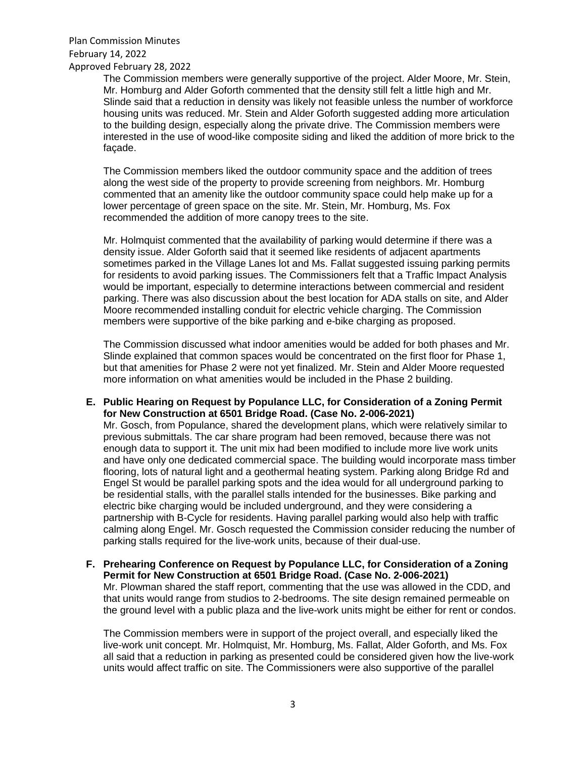Plan Commission Minutes February 14, 2022 Approved February 28, 2022

The Commission members were generally supportive of the project. Alder Moore, Mr. Stein, Mr. Homburg and Alder Goforth commented that the density still felt a little high and Mr. Slinde said that a reduction in density was likely not feasible unless the number of workforce housing units was reduced. Mr. Stein and Alder Goforth suggested adding more articulation to the building design, especially along the private drive. The Commission members were interested in the use of wood-like composite siding and liked the addition of more brick to the façade.

The Commission members liked the outdoor community space and the addition of trees along the west side of the property to provide screening from neighbors. Mr. Homburg commented that an amenity like the outdoor community space could help make up for a lower percentage of green space on the site. Mr. Stein, Mr. Homburg, Ms. Fox recommended the addition of more canopy trees to the site.

Mr. Holmquist commented that the availability of parking would determine if there was a density issue. Alder Goforth said that it seemed like residents of adjacent apartments sometimes parked in the Village Lanes lot and Ms. Fallat suggested issuing parking permits for residents to avoid parking issues. The Commissioners felt that a Traffic Impact Analysis would be important, especially to determine interactions between commercial and resident parking. There was also discussion about the best location for ADA stalls on site, and Alder Moore recommended installing conduit for electric vehicle charging. The Commission members were supportive of the bike parking and e-bike charging as proposed.

The Commission discussed what indoor amenities would be added for both phases and Mr. Slinde explained that common spaces would be concentrated on the first floor for Phase 1, but that amenities for Phase 2 were not yet finalized. Mr. Stein and Alder Moore requested more information on what amenities would be included in the Phase 2 building.

**E. Public Hearing on Request by Populance LLC, for Consideration of a Zoning Permit for New Construction at 6501 Bridge Road. (Case No. 2-006-2021)**

Mr. Gosch, from Populance, shared the development plans, which were relatively similar to previous submittals. The car share program had been removed, because there was not enough data to support it. The unit mix had been modified to include more live work units and have only one dedicated commercial space. The building would incorporate mass timber flooring, lots of natural light and a geothermal heating system. Parking along Bridge Rd and Engel St would be parallel parking spots and the idea would for all underground parking to be residential stalls, with the parallel stalls intended for the businesses. Bike parking and electric bike charging would be included underground, and they were considering a partnership with B-Cycle for residents. Having parallel parking would also help with traffic calming along Engel. Mr. Gosch requested the Commission consider reducing the number of parking stalls required for the live-work units, because of their dual-use.

**F. Prehearing Conference on Request by Populance LLC, for Consideration of a Zoning Permit for New Construction at 6501 Bridge Road. (Case No. 2-006-2021)** Mr. Plowman shared the staff report, commenting that the use was allowed in the CDD, and that units would range from studios to 2-bedrooms. The site design remained permeable on the ground level with a public plaza and the live-work units might be either for rent or condos.

The Commission members were in support of the project overall, and especially liked the live-work unit concept. Mr. Holmquist, Mr. Homburg, Ms. Fallat, Alder Goforth, and Ms. Fox all said that a reduction in parking as presented could be considered given how the live-work units would affect traffic on site. The Commissioners were also supportive of the parallel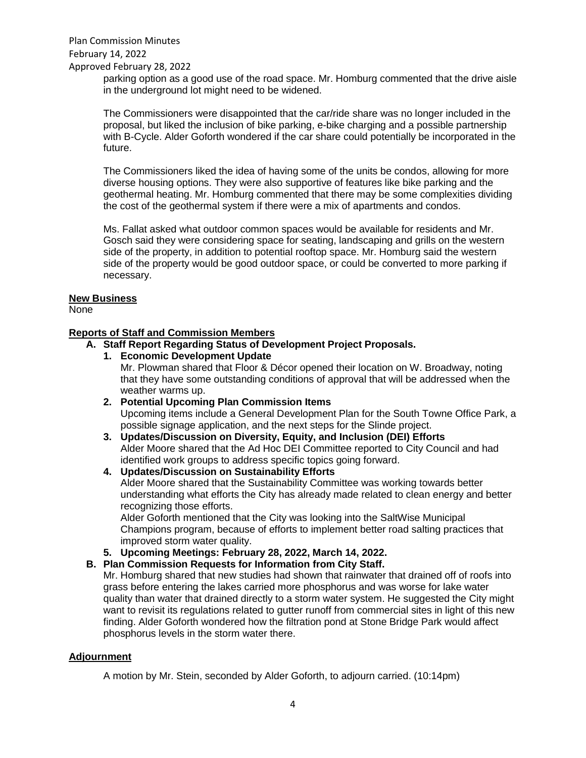Plan Commission Minutes February 14, 2022 Approved February 28, 2022

> parking option as a good use of the road space. Mr. Homburg commented that the drive aisle in the underground lot might need to be widened.

> The Commissioners were disappointed that the car/ride share was no longer included in the proposal, but liked the inclusion of bike parking, e-bike charging and a possible partnership with B-Cycle. Alder Goforth wondered if the car share could potentially be incorporated in the future.

> The Commissioners liked the idea of having some of the units be condos, allowing for more diverse housing options. They were also supportive of features like bike parking and the geothermal heating. Mr. Homburg commented that there may be some complexities dividing the cost of the geothermal system if there were a mix of apartments and condos.

Ms. Fallat asked what outdoor common spaces would be available for residents and Mr. Gosch said they were considering space for seating, landscaping and grills on the western side of the property, in addition to potential rooftop space. Mr. Homburg said the western side of the property would be good outdoor space, or could be converted to more parking if necessary.

#### **New Business**

None

# **Reports of Staff and Commission Members**

### **A. Staff Report Regarding Status of Development Project Proposals.**

**1. Economic Development Update**

Mr. Plowman shared that Floor & Décor opened their location on W. Broadway, noting that they have some outstanding conditions of approval that will be addressed when the weather warms up.

- **2. Potential Upcoming Plan Commission Items** Upcoming items include a General Development Plan for the South Towne Office Park, a possible signage application, and the next steps for the Slinde project.
- **3. Updates/Discussion on Diversity, Equity, and Inclusion (DEI) Efforts** Alder Moore shared that the Ad Hoc DEI Committee reported to City Council and had identified work groups to address specific topics going forward.
- **4. Updates/Discussion on Sustainability Efforts**

Alder Moore shared that the Sustainability Committee was working towards better understanding what efforts the City has already made related to clean energy and better recognizing those efforts.

Alder Goforth mentioned that the City was looking into the SaltWise Municipal Champions program, because of efforts to implement better road salting practices that improved storm water quality.

**5. Upcoming Meetings: February 28, 2022, March 14, 2022.**

## **B. Plan Commission Requests for Information from City Staff.**

Mr. Homburg shared that new studies had shown that rainwater that drained off of roofs into grass before entering the lakes carried more phosphorus and was worse for lake water quality than water that drained directly to a storm water system. He suggested the City might want to revisit its regulations related to gutter runoff from commercial sites in light of this new finding. Alder Goforth wondered how the filtration pond at Stone Bridge Park would affect phosphorus levels in the storm water there.

#### **Adjournment**

A motion by Mr. Stein, seconded by Alder Goforth, to adjourn carried. (10:14pm)